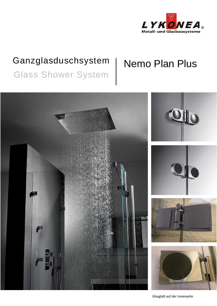

## Ganzglasduschsystem

# **Nemo Plan Plus**

**Glass Shower System** 



Glasglatt auf der Innenseite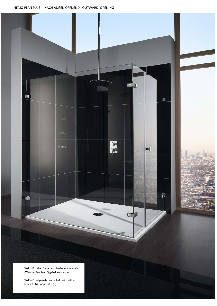NEMO PLAN PLUS NACH AUßEN ÖFFNEND I OUTWARD OPENING



 W/P = Fixed panels can be held with either brackets (W) or profiles (P)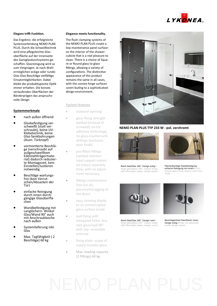

### **Eleganz trifft Funktion.**

Das Ergebnis: die erfolgreiche Systemverbindung NEMO PLAN PLUS. Durch die Schweißtechnik wird eine pflegeleichte Glasoberfläche auf der Innenseite des Ganzglasduschsystems geschaffen. Glasreinigung wird so zum Vergnügen. Je nach Wahl ermöglichen eckige oder runde-Glas-Glas-Beschläge vielfältige Einsatzmöglichkeiten. Dabei bleibt die produkttypische Optik immer erhalten. Die konvex verlaufenden Oberflächen der Bänderprägen das anspruchsvolle Design

### Systemmerkmale

- nach außen öffnend  $\bullet$
- Glasbefestigung verschweißt (statt verschraubt), keine UV-Klebetechnik, keine Glas-Senkbohrungen (Ausn. Türknopf)
- vormontierte Beschläge (verschraubt auf aufgeschweißtem Edelstahlträgermaterial) dadurch reduzierte Montagezeit, kein Einstellen/Justieren notwendig
- Beschläge wartungsfrei (kein Verrutschen/Absacken der Tür)
- einfache Reinigung durch innen durchgängige Glasoberflächen
- Wandbefestigung mit Langlöchern- Winkel Glas/Wand 90° auch mit Anschraublasche nach außen
- Systemlieferung inkl. Glas
- Max. Tagfähigkeit (2 Beschläge) 60 kg

### Elegance meets functionality.

The flush clamping systems of the NEMO PLAN PLUS create a low-maintenance panel surfaceon the interior of the showercubicle that is a real pleasure to clean. There is a choice of Square or Round glass to-glass fittings, allowing a variety of configurations. The distinctive appearance of this product remains the same in all cases. with the convex hinge surfaces contri-buting to a sophisticateddesign environment.

**System features** 

 $\ddot{\phantom{a}}$ 

 $\lambda$ 

- outward opening
	- glass fixing strength welded (instead of screwed), no UVadhesive technology, no glass-countersunk drillings (exclusion door knob)
	- pre-fitted fittings (welded stainless steel support material) reduce assembly time, with no adjustment necessary
- fittings maintenancefree (no displacement/sagging of the door)
- easy cleaning thanks to an uninterrupted glass-surface inside
- wall fixing with elongated holes- bracket glass/wall 90° with sep. reversible external
- fixing plate-scope of supply includes glass
- Max. loading capacity (2 fittings) 60 kg



#### NEMO PLAN PLUS TYP 233 W - pol. verchromt



Band Glas/Glas 180°. Design eckig I hinge glass/glass 180°, Classic shape<br>with offset glass edges, design square



Flächenbündige Glasbefestigung, einfache Reinigung von innen I cour tersunk glass fixing, easy to clean from inside



Band Glas/Glas 180°, Design rund I hinge glass/glass 180°, Classic shape<br>with offset glass edges, design round



eschlageinheit Glas/Wand, innen, Design eckig I hinge unit glass/wall<br>inside, design square